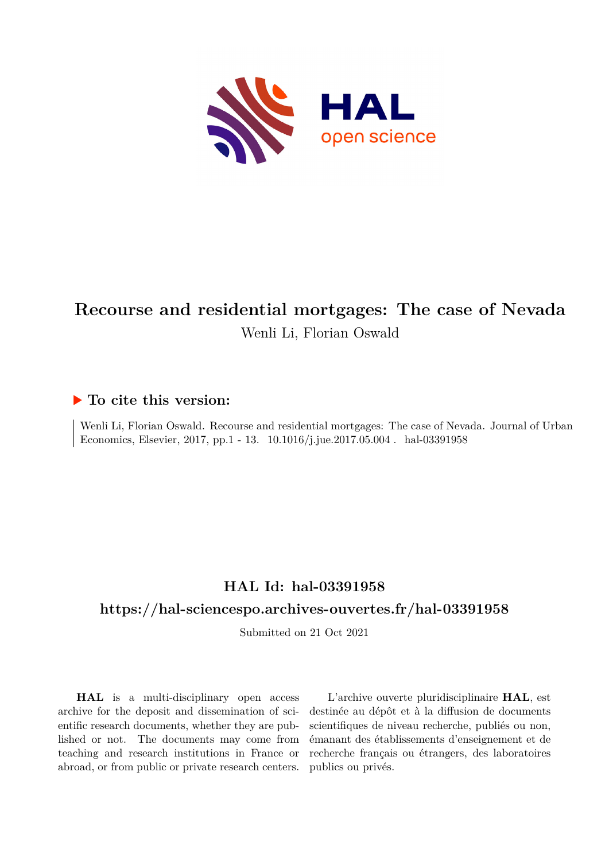

# **Recourse and residential mortgages: The case of Nevada** Wenli Li, Florian Oswald

### **To cite this version:**

Wenli Li, Florian Oswald. Recourse and residential mortgages: The case of Nevada. Journal of Urban Economics, Elsevier, 2017, pp.1 - 13. 10.1016/j.jue.2017.05.004. hal-03391958

# **HAL Id: hal-03391958**

### **<https://hal-sciencespo.archives-ouvertes.fr/hal-03391958>**

Submitted on 21 Oct 2021

**HAL** is a multi-disciplinary open access archive for the deposit and dissemination of scientific research documents, whether they are published or not. The documents may come from teaching and research institutions in France or abroad, or from public or private research centers.

L'archive ouverte pluridisciplinaire **HAL**, est destinée au dépôt et à la diffusion de documents scientifiques de niveau recherche, publiés ou non, émanant des établissements d'enseignement et de recherche français ou étrangers, des laboratoires publics ou privés.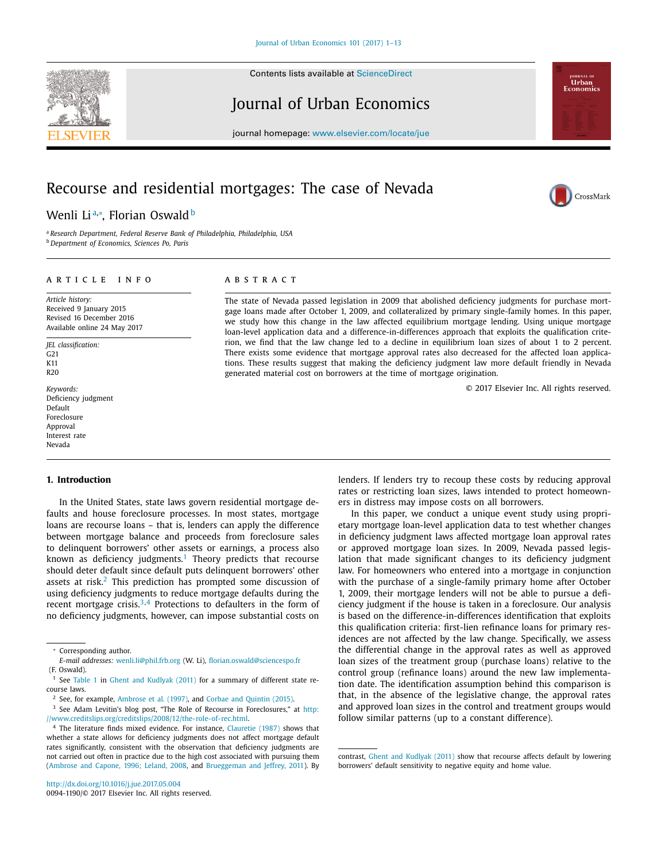Contents lists available at [ScienceDirect](http://www.ScienceDirect.com)

# Journal of Urban Economics

journal homepage: [www.elsevier.com/locate/jue](http://www.elsevier.com/locate/jue)

### Recourse and residential mortgages: The case of Nevada

### Wenli Liª,\*, Florian Oswald<sup>b</sup>

<sup>a</sup> *Research Department, Federal Reserve Bank of Philadelphia, Philadelphia, USA* <sup>b</sup> *Department of Economics, Sciences Po, Paris*

#### a r t i c l e i n f o

*Article history:* Received 9 January 2015 Revised 16 December 2016 Available online 24 May 2017

*JEL classification:* G21 K11  $P20$ 

*Keywords:* Deficiency judgment Default Foreclosure Approval Interest rate Nevada

#### **1. Introduction**

In the United States, state laws govern residential mortgage defaults and house foreclosure processes. In most states, mortgage loans are recourse loans – that is, lenders can apply the difference between mortgage balance and proceeds from foreclosure sales to delinquent borrowers' other assets or earnings, a process also known as deficiency judgments.<sup>1</sup> Theory predicts that recourse should deter default since default puts delinquent borrowers' other assets at risk.<sup>2</sup> This prediction has prompted some discussion of using deficiency judgments to reduce mortgage defaults during the recent mortgage crisis. $3,4$  Protections to defaulters in the form of no deficiency judgments, however, can impose substantial costs on

#### A B S T R A C T

The state of Nevada passed legislation in 2009 that abolished deficiency judgments for purchase mortgage loans made after October 1, 2009, and collateralized by primary single-family homes. In this paper, we study how this change in the law affected equilibrium mortgage lending. Using unique mortgage loan-level application data and a difference-in-differences approach that exploits the qualification criterion, we find that the law change led to a decline in equilibrium loan sizes of about 1 to 2 percent. There exists some evidence that mortgage approval rates also decreased for the affected loan applications. These results suggest that making the deficiency judgment law more default friendly in Nevada generated material cost on borrowers at the time of mortgage origination.

© 2017 Elsevier Inc. All rights reserved.

lenders. If lenders try to recoup these costs by reducing approval rates or restricting loan sizes, laws intended to protect homeowners in distress may impose costs on all borrowers.

In this paper, we conduct a unique event study using proprietary mortgage loan-level application data to test whether changes in deficiency judgment laws affected mortgage loan approval rates or approved mortgage loan sizes. In 2009, Nevada passed legislation that made significant changes to its deficiency judgment law. For homeowners who entered into a mortgage in conjunction with the purchase of a single-family primary home after October 1, 2009, their mortgage lenders will not be able to pursue a deficiency judgment if the house is taken in a foreclosure. Our analysis is based on the difference-in-differences identification that exploits this qualification criteria: first-lien refinance loans for primary residences are not affected by the law change. Specifically, we assess the differential change in the approval rates as well as approved loan sizes of the treatment group (purchase loans) relative to the control group (refinance loans) around the new law implementation date. The identification assumption behind this comparison is that, in the absence of the legislative change, the approval rates and approved loan sizes in the control and treatment groups would follow similar patterns (up to a constant difference).



JOURNAL OF<br>**Urban**<br>**Economics** 

<sup>∗</sup> Corresponding author.

*E-mail addresses:* [wenli.li@phil.frb.org](mailto:wenli.li@phil.frb.org) (W. Li), [florian.oswald@sciencespo.fr](mailto:florian.oswald@sciencespo.fr) (F. Oswald).

<sup>&</sup>lt;sup>1</sup> See Table 1 in Ghent and Kudlyak (2011) for a summary of different state recourse laws.

<sup>&</sup>lt;sup>2</sup> See, for example, Ambrose et al. (1997), and Corbae and Quintin (2015).

<sup>&</sup>lt;sup>3</sup> See Adam Levitin's blog post, "The Role of Recourse in Foreclosures," at http: [//www.creditslips.org/creditslips/2008/12/the-role-of-rec.html.](http://www.creditslips.org/creditslips/2008/12/the-role-of-rec.html)

<sup>&</sup>lt;sup>4</sup> The literature finds mixed evidence. For instance, Clauretie (1987) shows that whether a state allows for deficiency judgments does not affect mortgage default rates significantly, consistent with the observation that deficiency judgments are not carried out often in practice due to the high cost associated with pursuing them (Ambrose and Capone, 1996; Leland, 2008, and Brueggeman and Jeffrey, 2011). By

contrast, Ghent and Kudlyak (2011) show that recourse affects default by lowering borrowers' default sensitivity to negative equity and home value.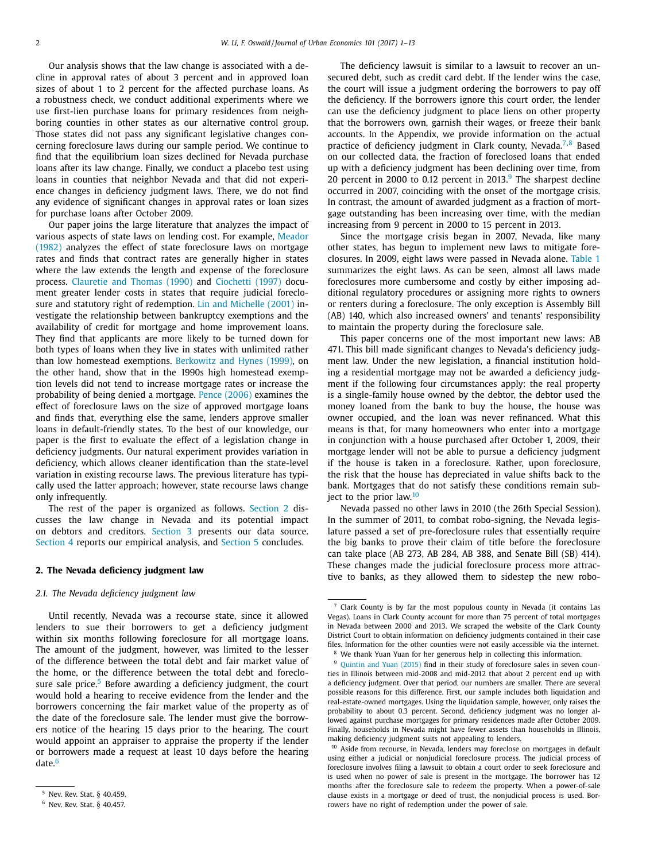Our analysis shows that the law change is associated with a decline in approval rates of about 3 percent and in approved loan sizes of about 1 to 2 percent for the affected purchase loans. As a robustness check, we conduct additional experiments where we use first-lien purchase loans for primary residences from neighboring counties in other states as our alternative control group. Those states did not pass any significant legislative changes concerning foreclosure laws during our sample period. We continue to find that the equilibrium loan sizes declined for Nevada purchase loans after its law change. Finally, we conduct a placebo test using loans in counties that neighbor Nevada and that did not experience changes in deficiency judgment laws. There, we do not find any evidence of significant changes in approval rates or loan sizes for purchase loans after October 2009.

Our paper joins the large literature that analyzes the impact of various aspects of state laws on lending cost. For example, Meador (1982) analyzes the effect of state foreclosure laws on mortgage rates and finds that contract rates are generally higher in states where the law extends the length and expense of the foreclosure process. Clauretie and Thomas (1990) and Ciochetti (1997) document greater lender costs in states that require judicial foreclosure and statutory right of redemption. Lin and Michelle (2001) investigate the relationship between bankruptcy exemptions and the availability of credit for mortgage and home improvement loans. They find that applicants are more likely to be turned down for both types of loans when they live in states with unlimited rather than low homestead exemptions. Berkowitz and Hynes (1999), on the other hand, show that in the 1990s high homestead exemption levels did not tend to increase mortgage rates or increase the probability of being denied a mortgage. Pence (2006) examines the effect of foreclosure laws on the size of approved mortgage loans and finds that, everything else the same, lenders approve smaller loans in default-friendly states. To the best of our knowledge, our paper is the first to evaluate the effect of a legislation change in deficiency judgments. Our natural experiment provides variation in deficiency, which allows cleaner identification than the state-level variation in existing recourse laws. The previous literature has typically used the latter approach; however, state recourse laws change only infrequently.

The rest of the paper is organized as follows. Section 2 discusses the law change in Nevada and its potential impact on debtors and creditors. Section 3 presents our data source. Section 4 reports our empirical analysis, and Section 5 concludes.

#### **2. The Nevada deficiency judgment law**

#### *2.1. The Nevada deficiency judgment law*

Until recently, Nevada was a recourse state, since it allowed lenders to sue their borrowers to get a deficiency judgment within six months following foreclosure for all mortgage loans. The amount of the judgment, however, was limited to the lesser of the difference between the total debt and fair market value of the home, or the difference between the total debt and foreclosure sale price. $5$  Before awarding a deficiency judgment, the court would hold a hearing to receive evidence from the lender and the borrowers concerning the fair market value of the property as of the date of the foreclosure sale. The lender must give the borrowers notice of the hearing 15 days prior to the hearing. The court would appoint an appraiser to appraise the property if the lender or borrowers made a request at least 10 days before the hearing date.<sup>6</sup>

The deficiency lawsuit is similar to a lawsuit to recover an unsecured debt, such as credit card debt. If the lender wins the case, the court will issue a judgment ordering the borrowers to pay off the deficiency. If the borrowers ignore this court order, the lender can use the deficiency judgment to place liens on other property that the borrowers own, garnish their wages, or freeze their bank accounts. In the Appendix, we provide information on the actual practice of deficiency judgment in Clark county, Nevada. $7,8$  Based on our collected data, the fraction of foreclosed loans that ended up with a deficiency judgment has been declining over time, from 20 percent in 2000 to 0.12 percent in 2013. $9$  The sharpest decline occurred in 2007, coinciding with the onset of the mortgage crisis. In contrast, the amount of awarded judgment as a fraction of mortgage outstanding has been increasing over time, with the median increasing from 9 percent in 2000 to 15 percent in 2013.

Since the mortgage crisis began in 2007, Nevada, like many other states, has begun to implement new laws to mitigate foreclosures. In 2009, eight laws were passed in Nevada alone. Table 1 summarizes the eight laws. As can be seen, almost all laws made foreclosures more cumbersome and costly by either imposing additional regulatory procedures or assigning more rights to owners or renters during a foreclosure. The only exception is Assembly Bill (AB) 140, which also increased owners' and tenants' responsibility to maintain the property during the foreclosure sale.

This paper concerns one of the most important new laws: AB 471. This bill made significant changes to Nevada's deficiency judgment law. Under the new legislation, a financial institution holding a residential mortgage may not be awarded a deficiency judgment if the following four circumstances apply: the real property is a single-family house owned by the debtor, the debtor used the money loaned from the bank to buy the house, the house was owner occupied, and the loan was never refinanced. What this means is that, for many homeowners who enter into a mortgage in conjunction with a house purchased after October 1, 2009, their mortgage lender will not be able to pursue a deficiency judgment if the house is taken in a foreclosure. Rather, upon foreclosure, the risk that the house has depreciated in value shifts back to the bank. Mortgages that do not satisfy these conditions remain subject to the prior law.<sup>10</sup>

Nevada passed no other laws in 2010 (the 26th Special Session). In the summer of 2011, to combat robo-signing, the Nevada legislature passed a set of pre-foreclosure rules that essentially require the big banks to prove their claim of title before the foreclosure can take place (AB 273, AB 284, AB 388, and Senate Bill (SB) 414). These changes made the judicial foreclosure process more attractive to banks, as they allowed them to sidestep the new robo-

<sup>5</sup> Nev. Rev. Stat. § 40.459.

<sup>6</sup> Nev. Rev. Stat. § 40.457.

<sup>7</sup> Clark County is by far the most populous county in Nevada (it contains Las Vegas). Loans in Clark County account for more than 75 percent of total mortgages in Nevada between 2000 and 2013. We scraped the website of the Clark County District Court to obtain information on deficiency judgments contained in their case files. Information for the other counties were not easily accessible via the internet.

<sup>&</sup>lt;sup>8</sup> We thank Yuan Yuan for her generous help in collecting this information.

<sup>&</sup>lt;sup>9</sup> Quintin and Yuan (2015) find in their study of foreclosure sales in seven counties in Illinois between mid-2008 and mid-2012 that about 2 percent end up with a deficiency judgment. Over that period, our numbers are smaller. There are several possible reasons for this difference. First, our sample includes both liquidation and real-estate-owned mortgages. Using the liquidation sample, however, only raises the probability to about 0.3 percent. Second, deficiency judgment was no longer allowed against purchase mortgages for primary residences made after October 2009. Finally, households in Nevada might have fewer assets than households in Illinois, making deficiency judgment suits not appealing to lenders.

<sup>&</sup>lt;sup>10</sup> Aside from recourse, in Nevada, lenders may foreclose on mortgages in default using either a judicial or nonjudicial foreclosure process. The judicial process of foreclosure involves filing a lawsuit to obtain a court order to seek foreclosure and is used when no power of sale is present in the mortgage. The borrower has 12 months after the foreclosure sale to redeem the property. When a power-of-sale clause exists in a mortgage or deed of trust, the nonjudicial process is used. Borrowers have no right of redemption under the power of sale.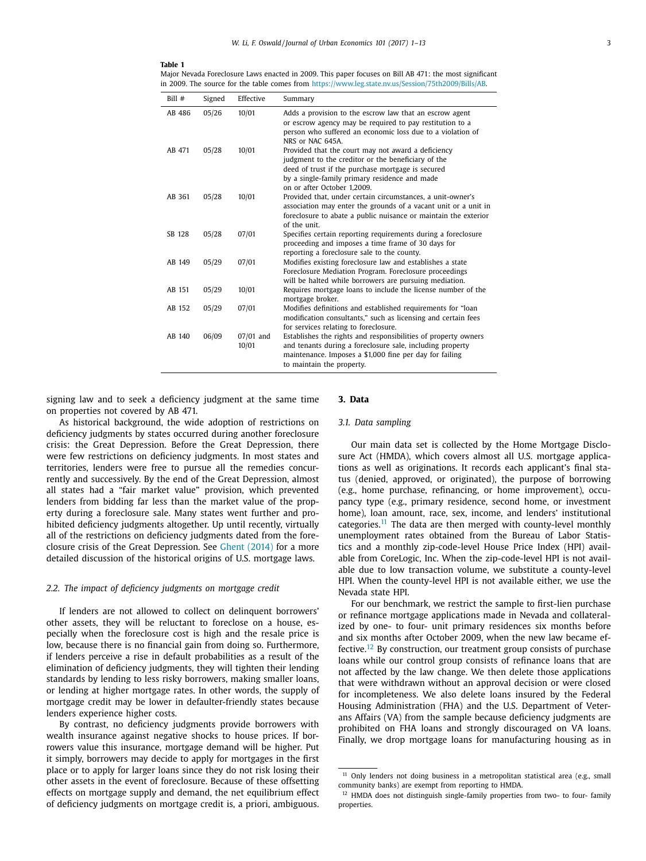Major Nevada Foreclosure Laws enacted in 2009. This paper focuses on Bill AB 471: the most significant in 2009. The source for the table comes from [https://www.leg.state.nv.us/Session/75th2009/Bills/AB.](https://www.leg.state.nv.us/Session/75th2009/Bills/AB)

| Bill # | Signed | Effective            | Summary                                                                                                                                                                                                                                       |
|--------|--------|----------------------|-----------------------------------------------------------------------------------------------------------------------------------------------------------------------------------------------------------------------------------------------|
| AB 486 | 05/26  | 10/01                | Adds a provision to the escrow law that an escrow agent<br>or escrow agency may be required to pay restitution to a<br>person who suffered an economic loss due to a violation of<br>NRS or NAC 645A.                                         |
| AB 471 | 05/28  | 10/01                | Provided that the court may not award a deficiency<br>judgment to the creditor or the beneficiary of the<br>deed of trust if the purchase mortgage is secured<br>by a single-family primary residence and made<br>on or after October 1.2009. |
| AB 361 | 05/28  | 10/01                | Provided that, under certain circumstances, a unit-owner's<br>association may enter the grounds of a vacant unit or a unit in<br>foreclosure to abate a public nuisance or maintain the exterior<br>of the unit.                              |
| SB 128 | 05/28  | 07/01                | Specifies certain reporting requirements during a foreclosure<br>proceeding and imposes a time frame of 30 days for<br>reporting a foreclosure sale to the county.                                                                            |
| AB 149 | 05/29  | 07/01                | Modifies existing foreclosure law and establishes a state<br>Foreclosure Mediation Program, Foreclosure proceedings<br>will be halted while borrowers are pursuing mediation.                                                                 |
| AB 151 | 05/29  | 10/01                | Requires mortgage loans to include the license number of the<br>mortgage broker.                                                                                                                                                              |
| AB 152 | 05/29  | 07/01                | Modifies definitions and established requirements for "loan<br>modification consultants," such as licensing and certain fees<br>for services relating to foreclosure.                                                                         |
| AB 140 | 06/09  | $07/01$ and<br>10/01 | Establishes the rights and responsibilities of property owners<br>and tenants during a foreclosure sale, including property<br>maintenance. Imposes a \$1,000 fine per day for failing<br>to maintain the property.                           |

signing law and to seek a deficiency judgment at the same time on properties not covered by AB 471.

#### **3. Data**

#### *3.1. Data sampling*

As historical background, the wide adoption of restrictions on deficiency judgments by states occurred during another foreclosure crisis: the Great Depression. Before the Great Depression, there were few restrictions on deficiency judgments. In most states and territories, lenders were free to pursue all the remedies concurrently and successively. By the end of the Great Depression, almost all states had a "fair market value" provision, which prevented lenders from bidding far less than the market value of the property during a foreclosure sale. Many states went further and prohibited deficiency judgments altogether. Up until recently, virtually all of the restrictions on deficiency judgments dated from the foreclosure crisis of the Great Depression. See Ghent (2014) for a more detailed discussion of the historical origins of U.S. mortgage laws.

#### *2.2. The impact of deficiency judgments on mortgage credit*

If lenders are not allowed to collect on delinquent borrowers' other assets, they will be reluctant to foreclose on a house, especially when the foreclosure cost is high and the resale price is low, because there is no financial gain from doing so. Furthermore, if lenders perceive a rise in default probabilities as a result of the elimination of deficiency judgments, they will tighten their lending standards by lending to less risky borrowers, making smaller loans, or lending at higher mortgage rates. In other words, the supply of mortgage credit may be lower in defaulter-friendly states because lenders experience higher costs.

By contrast, no deficiency judgments provide borrowers with wealth insurance against negative shocks to house prices. If borrowers value this insurance, mortgage demand will be higher. Put it simply, borrowers may decide to apply for mortgages in the first place or to apply for larger loans since they do not risk losing their other assets in the event of foreclosure. Because of these offsetting effects on mortgage supply and demand, the net equilibrium effect of deficiency judgments on mortgage credit is, a priori, ambiguous.

Our main data set is collected by the Home Mortgage Disclosure Act (HMDA), which covers almost all U.S. mortgage applications as well as originations. It records each applicant's final status (denied, approved, or originated), the purpose of borrowing (e.g., home purchase, refinancing, or home improvement), occupancy type (e.g., primary residence, second home, or investment home), loan amount, race, sex, income, and lenders' institutional categories.<sup>11</sup> The data are then merged with county-level monthly unemployment rates obtained from the Bureau of Labor Statistics and a monthly zip-code-level House Price Index (HPI) available from CoreLogic, Inc. When the zip-code-level HPI is not available due to low transaction volume, we substitute a county-level HPI. When the county-level HPI is not available either, we use the Nevada state HPI.

For our benchmark, we restrict the sample to first-lien purchase or refinance mortgage applications made in Nevada and collateralized by one- to four- unit primary residences six months before and six months after October 2009, when the new law became effective.<sup>12</sup> By construction, our treatment group consists of purchase loans while our control group consists of refinance loans that are not affected by the law change. We then delete those applications that were withdrawn without an approval decision or were closed for incompleteness. We also delete loans insured by the Federal Housing Administration (FHA) and the U.S. Department of Veterans Affairs (VA) from the sample because deficiency judgments are prohibited on FHA loans and strongly discouraged on VA loans. Finally, we drop mortgage loans for manufacturing housing as in

<sup>&</sup>lt;sup>11</sup> Only lenders not doing business in a metropolitan statistical area (e.g., small community banks) are exempt from reporting to HMDA.

<sup>&</sup>lt;sup>12</sup> HMDA does not distinguish single-family properties from two- to four- family properties.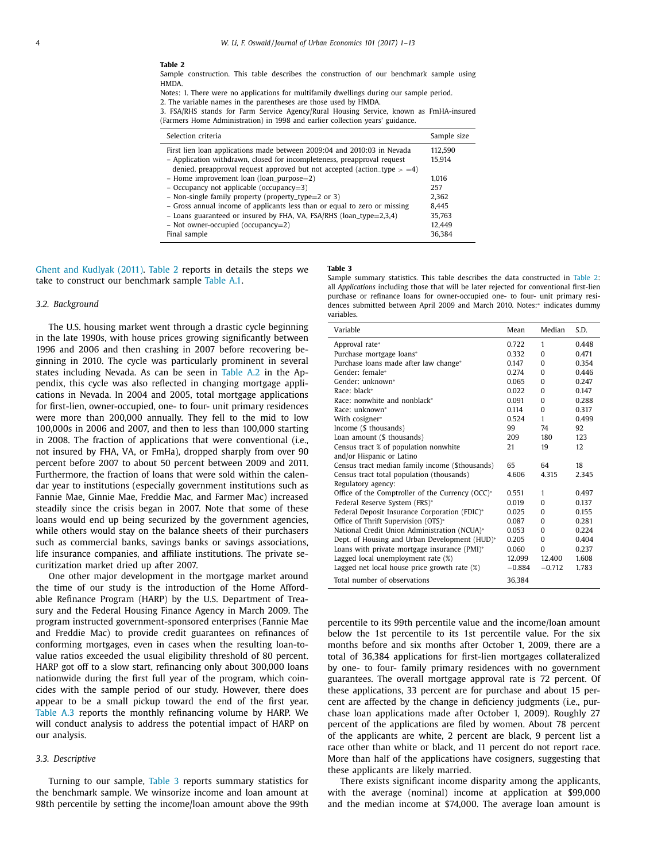Sample construction. This table describes the construction of our benchmark sample using **HMDA** 

Notes: 1. There were no applications for multifamily dwellings during our sample period.

2. The variable names in the parentheses are those used by HMDA.

3. FSA/RHS stands for Farm Service Agency/Rural Housing Service, known as FmHA-insured (Farmers Home Administration) in 1998 and earlier collection years' guidance.

Ghent and Kudlyak (2011). Table 2 reports in details the steps we take to construct our benchmark sample Table A.1.

#### *3.2. Background*

The U.S. housing market went through a drastic cycle beginning in the late 1990s, with house prices growing significantly between 1996 and 2006 and then crashing in 2007 before recovering beginning in 2010. The cycle was particularly prominent in several states including Nevada. As can be seen in Table A.2 in the Appendix, this cycle was also reflected in changing mortgage applications in Nevada. In 2004 and 2005, total mortgage applications for first-lien, owner-occupied, one- to four- unit primary residences were more than 200,000 annually. They fell to the mid to low 100,000s in 2006 and 2007, and then to less than 100,000 starting in 2008. The fraction of applications that were conventional (i.e., not insured by FHA, VA, or FmHa), dropped sharply from over 90 percent before 2007 to about 50 percent between 2009 and 2011. Furthermore, the fraction of loans that were sold within the calendar year to institutions (especially government institutions such as Fannie Mae, Ginnie Mae, Freddie Mac, and Farmer Mac) increased steadily since the crisis began in 2007. Note that some of these loans would end up being securized by the government agencies, while others would stay on the balance sheets of their purchasers such as commercial banks, savings banks or savings associations, life insurance companies, and affiliate institutions. The private securitization market dried up after 2007.

One other major development in the mortgage market around the time of our study is the introduction of the Home Affordable Refinance Program (HARP) by the U.S. Department of Treasury and the Federal Housing Finance Agency in March 2009. The program instructed government-sponsored enterprises (Fannie Mae and Freddie Mac) to provide credit guarantees on refinances of conforming mortgages, even in cases when the resulting loan-tovalue ratios exceeded the usual eligibility threshold of 80 percent. HARP got off to a slow start, refinancing only about 300,000 loans nationwide during the first full year of the program, which coincides with the sample period of our study. However, there does appear to be a small pickup toward the end of the first year. Table A.3 reports the monthly refinancing volume by HARP. We will conduct analysis to address the potential impact of HARP on our analysis.

#### *3.3. Descriptive*

Turning to our sample, Table 3 reports summary statistics for the benchmark sample. We winsorize income and loan amount at 98th percentile by setting the income/loan amount above the 99th

#### **Table 3**

Sample summary statistics. This table describes the data constructed in Table 2: all *Applications* including those that will be later rejected for conventional first-lien purchase or refinance loans for owner-occupied one- to four- unit primary residences submitted between April 2009 and March 2010. Notes:<sup>∗</sup> indicates dummy variables.

| Variable                                         | Mean     | Median       | S.D.  |
|--------------------------------------------------|----------|--------------|-------|
| Approval rate*                                   | 0.722    | 1            | 0.448 |
| Purchase mortgage loans*                         | 0.332    | $\Omega$     | 0.471 |
| Purchase loans made after law change*            | 0.147    | $\Omega$     | 0.354 |
| Gender: female*                                  | 0.274    | $\Omega$     | 0.446 |
| Gender: unknown*                                 | 0.065    | $\Omega$     | 0.247 |
| Race: black*                                     | 0.022    | $\Omega$     | 0.147 |
| Race: nonwhite and nonblack*                     | 0.091    | $\Omega$     | 0.288 |
| Race: unknown*                                   | 0.114    | $\Omega$     | 0.317 |
| With cosigner*                                   | 0.524    | $\mathbf{1}$ | 0.499 |
| Income (\$ thousands)                            | 99       | 74           | 92    |
| Loan amount (\$ thousands)                       | 209      | 180          | 123   |
| Census tract % of population nonwhite            | 21       | 19           | 12    |
| and/or Hispanic or Latino                        |          |              |       |
| Census tract median family income (\$thousands)  | 65       | 64           | 18    |
| Census tract total population (thousands)        | 4.606    | 4.315        | 2.345 |
| Regulatory agency:                               |          |              |       |
| Office of the Comptroller of the Currency (OCC)* | 0.551    | 1            | 0.497 |
| Federal Reserve System (FRS)*                    | 0.019    | $\Omega$     | 0.137 |
| Federal Deposit Insurance Corporation (FDIC)*    | 0.025    | $\Omega$     | 0.155 |
| Office of Thrift Supervision (OTS)*              | 0.087    | $\Omega$     | 0.281 |
| National Credit Union Administration (NCUA)*     | 0.053    | $\Omega$     | 0.224 |
| Dept. of Housing and Urban Development (HUD)*    | 0.205    | $\Omega$     | 0.404 |
| Loans with private mortgage insurance (PMI)*     | 0.060    | $\Omega$     | 0.237 |
| Lagged local unemployment rate (%)               | 12.099   | 12.400       | 1.608 |
| Lagged net local house price growth rate (%)     | $-0.884$ | $-0.712$     | 1.783 |
| Total number of observations                     | 36.384   |              |       |

percentile to its 99th percentile value and the income/loan amount below the 1st percentile to its 1st percentile value. For the six months before and six months after October 1, 2009, there are a total of 36,384 applications for first-lien mortgages collateralized by one- to four- family primary residences with no government guarantees. The overall mortgage approval rate is 72 percent. Of these applications, 33 percent are for purchase and about 15 percent are affected by the change in deficiency judgments (i.e., purchase loan applications made after October 1, 2009). Roughly 27 percent of the applications are filed by women. About 78 percent of the applicants are white, 2 percent are black, 9 percent list a race other than white or black, and 11 percent do not report race. More than half of the applications have cosigners, suggesting that these applicants are likely married.

There exists significant income disparity among the applicants, with the average (nominal) income at application at \$99,000 and the median income at \$74,000. The average loan amount is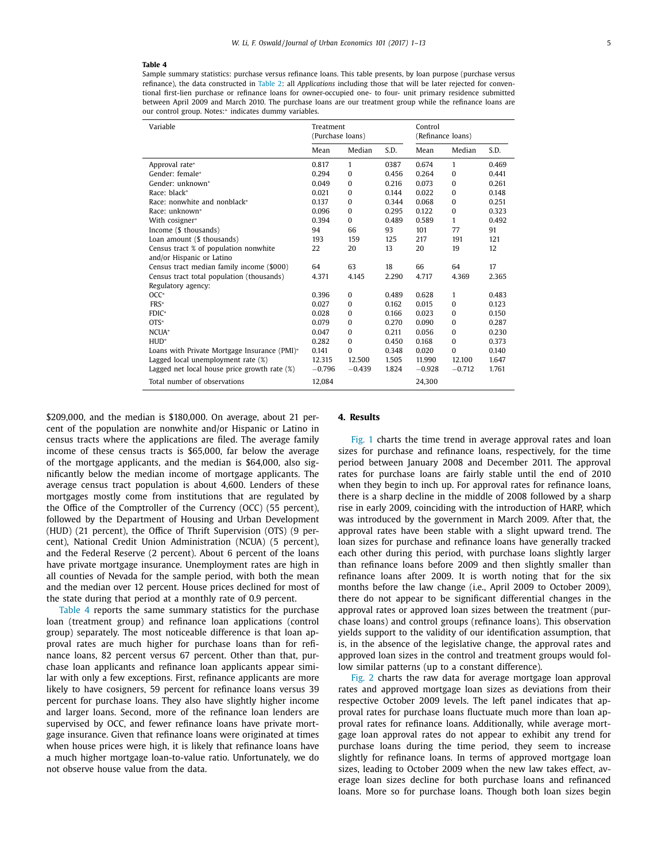Sample summary statistics: purchase versus refinance loans. This table presents, by loan purpose (purchase versus refinance), the data constructed in Table 2: all *Applications* including those that will be later rejected for conventional first-lien purchase or refinance loans for owner-occupied one- to four- unit primary residence submitted between April 2009 and March 2010. The purchase loans are our treatment group while the refinance loans are our control group. Notes:<sup>∗</sup> indicates dummy variables.

| Variable                                     | Treatment<br>(Purchase loans) |          |       | Control<br>(Refinance loans) |              |       |
|----------------------------------------------|-------------------------------|----------|-------|------------------------------|--------------|-------|
|                                              | Mean                          | Median   | S.D.  | Mean                         | Median       | S.D.  |
| Approval rate*                               | 0.817                         | 1        | 0387  | 0.674                        | 1            | 0.469 |
| Gender: female*                              | 0.294                         | $\Omega$ | 0.456 | 0.264                        | $\Omega$     | 0.441 |
| Gender: unknown*                             | 0.049                         | $\Omega$ | 0.216 | 0.073                        | $\mathbf{0}$ | 0.261 |
| Race: black*                                 | 0.021                         | $\Omega$ | 0.144 | 0.022                        | $\Omega$     | 0.148 |
| Race: nonwhite and nonblack*                 | 0.137                         | $\Omega$ | 0.344 | 0.068                        | $\mathbf{0}$ | 0.251 |
| Race: unknown*                               | 0.096                         | $\Omega$ | 0.295 | 0.122                        | $\mathbf{0}$ | 0.323 |
| With cosigner*                               | 0.394                         | $\Omega$ | 0.489 | 0.589                        | $\mathbf{1}$ | 0.492 |
| Income (\$ thousands)                        | 94                            | 66       | 93    | 101                          | 77           | 91    |
| Loan amount (\$ thousands)                   | 193                           | 159      | 125   | 217                          | 191          | 121   |
| Census tract % of population nonwhite        | 22                            | 20       | 13    | 20                           | 19           | 12    |
| and/or Hispanic or Latino                    |                               |          |       |                              |              |       |
| Census tract median family income (\$000)    | 64                            | 63       | 18    | 66                           | 64           | 17    |
| Census tract total population (thousands)    | 4.371                         | 4.145    | 2.290 | 4.717                        | 4.369        | 2.365 |
| Regulatory agency:                           |                               |          |       |                              |              |       |
| $OCC*$                                       | 0.396                         | $\Omega$ | 0.489 | 0.628                        | 1            | 0.483 |
| FRS*                                         | 0.027                         | $\Omega$ | 0.162 | 0.015                        | $\mathbf{0}$ | 0.123 |
| FDIC*                                        | 0.028                         | $\Omega$ | 0.166 | 0.023                        | $\mathbf{0}$ | 0.150 |
| OTS*                                         | 0.079                         | $\Omega$ | 0.270 | 0.090                        | $\mathbf{0}$ | 0.287 |
| NCUA*                                        | 0.047                         | $\Omega$ | 0.211 | 0.056                        | $\bf{0}$     | 0.230 |
| HUD*                                         | 0.282                         | $\Omega$ | 0.450 | 0.168                        | $\mathbf{0}$ | 0.373 |
| Loans with Private Mortgage Insurance (PMI)* | 0.141                         | $\Omega$ | 0.348 | 0.020                        | $\Omega$     | 0.140 |
| Lagged local unemployment rate (%)           | 12.315                        | 12.500   | 1.505 | 11.990                       | 12.100       | 1.647 |
| Lagged net local house price growth rate (%) | $-0.796$                      | $-0.439$ | 1.824 | $-0.928$                     | $-0.712$     | 1.761 |
| Total number of observations                 | 12,084                        |          |       | 24,300                       |              |       |

\$209,000, and the median is \$180,000. On average, about 21 percent of the population are nonwhite and/or Hispanic or Latino in census tracts where the applications are filed. The average family income of these census tracts is \$65,000, far below the average of the mortgage applicants, and the median is \$64,000, also significantly below the median income of mortgage applicants. The average census tract population is about 4,600. Lenders of these mortgages mostly come from institutions that are regulated by the Office of the Comptroller of the Currency (OCC) (55 percent), followed by the Department of Housing and Urban Development (HUD) (21 percent), the Office of Thrift Supervision (OTS) (9 percent), National Credit Union Administration (NCUA) (5 percent), and the Federal Reserve (2 percent). About 6 percent of the loans have private mortgage insurance. Unemployment rates are high in all counties of Nevada for the sample period, with both the mean and the median over 12 percent. House prices declined for most of the state during that period at a monthly rate of 0.9 percent.

Table 4 reports the same summary statistics for the purchase loan (treatment group) and refinance loan applications (control group) separately. The most noticeable difference is that loan approval rates are much higher for purchase loans than for refinance loans, 82 percent versus 67 percent. Other than that, purchase loan applicants and refinance loan applicants appear similar with only a few exceptions. First, refinance applicants are more likely to have cosigners, 59 percent for refinance loans versus 39 percent for purchase loans. They also have slightly higher income and larger loans. Second, more of the refinance loan lenders are supervised by OCC, and fewer refinance loans have private mortgage insurance. Given that refinance loans were originated at times when house prices were high, it is likely that refinance loans have a much higher mortgage loan-to-value ratio. Unfortunately, we do not observe house value from the data.

#### **4. Results**

Fig. 1 charts the time trend in average approval rates and loan sizes for purchase and refinance loans, respectively, for the time period between January 2008 and December 2011. The approval rates for purchase loans are fairly stable until the end of 2010 when they begin to inch up. For approval rates for refinance loans, there is a sharp decline in the middle of 2008 followed by a sharp rise in early 2009, coinciding with the introduction of HARP, which was introduced by the government in March 2009. After that, the approval rates have been stable with a slight upward trend. The loan sizes for purchase and refinance loans have generally tracked each other during this period, with purchase loans slightly larger than refinance loans before 2009 and then slightly smaller than refinance loans after 2009. It is worth noting that for the six months before the law change (i.e., April 2009 to October 2009), there do not appear to be significant differential changes in the approval rates or approved loan sizes between the treatment (purchase loans) and control groups (refinance loans). This observation yields support to the validity of our identification assumption, that is, in the absence of the legislative change, the approval rates and approved loan sizes in the control and treatment groups would follow similar patterns (up to a constant difference).

Fig. 2 charts the raw data for average mortgage loan approval rates and approved mortgage loan sizes as deviations from their respective October 2009 levels. The left panel indicates that approval rates for purchase loans fluctuate much more than loan approval rates for refinance loans. Additionally, while average mortgage loan approval rates do not appear to exhibit any trend for purchase loans during the time period, they seem to increase slightly for refinance loans. In terms of approved mortgage loan sizes, leading to October 2009 when the new law takes effect, average loan sizes decline for both purchase loans and refinanced loans. More so for purchase loans. Though both loan sizes begin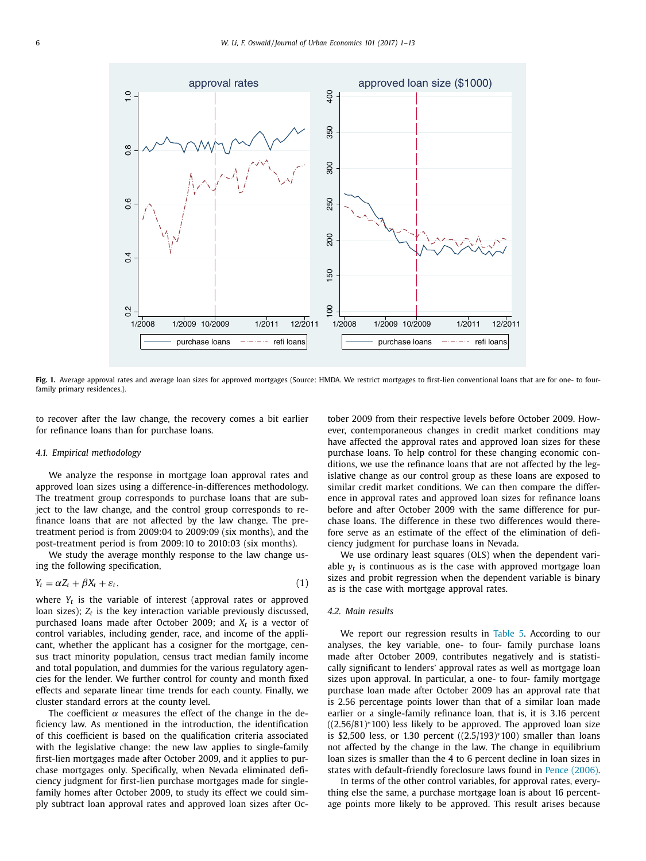

Fig. 1. Average approval rates and average loan sizes for approved mortgages (Source: HMDA. We restrict mortgages to first-lien conventional loans that are for one- to fourfamily primary residences.).

to recover after the law change, the recovery comes a bit earlier for refinance loans than for purchase loans.

#### *4.1. Empirical methodology*

We analyze the response in mortgage loan approval rates and approved loan sizes using a difference-in-differences methodology. The treatment group corresponds to purchase loans that are subject to the law change, and the control group corresponds to refinance loans that are not affected by the law change. The pretreatment period is from 2009:04 to 2009:09 (six months), and the post-treatment period is from 2009:10 to 2010:03 (six months).

We study the average monthly response to the law change using the following specification,

$$
Y_t = \alpha Z_t + \beta X_t + \varepsilon_t, \tag{1}
$$

where  $Y_t$  is the variable of interest (approval rates or approved loan sizes);  $Z_t$  is the key interaction variable previously discussed, purchased loans made after October 2009; and *Xt* is a vector of control variables, including gender, race, and income of the applicant, whether the applicant has a cosigner for the mortgage, census tract minority population, census tract median family income and total population, and dummies for the various regulatory agencies for the lender. We further control for county and month fixed effects and separate linear time trends for each county. Finally, we cluster standard errors at the county level.

The coefficient  $\alpha$  measures the effect of the change in the deficiency law. As mentioned in the introduction, the identification of this coefficient is based on the qualification criteria associated with the legislative change: the new law applies to single-family first-lien mortgages made after October 2009, and it applies to purchase mortgages only. Specifically, when Nevada eliminated deficiency judgment for first-lien purchase mortgages made for singlefamily homes after October 2009, to study its effect we could simply subtract loan approval rates and approved loan sizes after October 2009 from their respective levels before October 2009. However, contemporaneous changes in credit market conditions may have affected the approval rates and approved loan sizes for these purchase loans. To help control for these changing economic conditions, we use the refinance loans that are not affected by the legislative change as our control group as these loans are exposed to similar credit market conditions. We can then compare the difference in approval rates and approved loan sizes for refinance loans before and after October 2009 with the same difference for purchase loans. The difference in these two differences would therefore serve as an estimate of the effect of the elimination of deficiency judgment for purchase loans in Nevada.

We use ordinary least squares (OLS) when the dependent variable  $y_t$  is continuous as is the case with approved mortgage loan sizes and probit regression when the dependent variable is binary as is the case with mortgage approval rates.

#### *4.2. Main results*

We report our regression results in Table 5. According to our analyses, the key variable, one- to four- family purchase loans made after October 2009, contributes negatively and is statistically significant to lenders' approval rates as well as mortgage loan sizes upon approval. In particular, a one- to four- family mortgage purchase loan made after October 2009 has an approval rate that is 2.56 percentage points lower than that of a similar loan made earlier or a single-family refinance loan, that is, it is 3.16 percent ((2.56/81)∗100) less likely to be approved. The approved loan size is \$2,500 less, or 1.30 percent ((2.5/193)∗100) smaller than loans not affected by the change in the law. The change in equilibrium loan sizes is smaller than the 4 to 6 percent decline in loan sizes in states with default-friendly foreclosure laws found in Pence (2006).

In terms of the other control variables, for approval rates, everything else the same, a purchase mortgage loan is about 16 percentage points more likely to be approved. This result arises because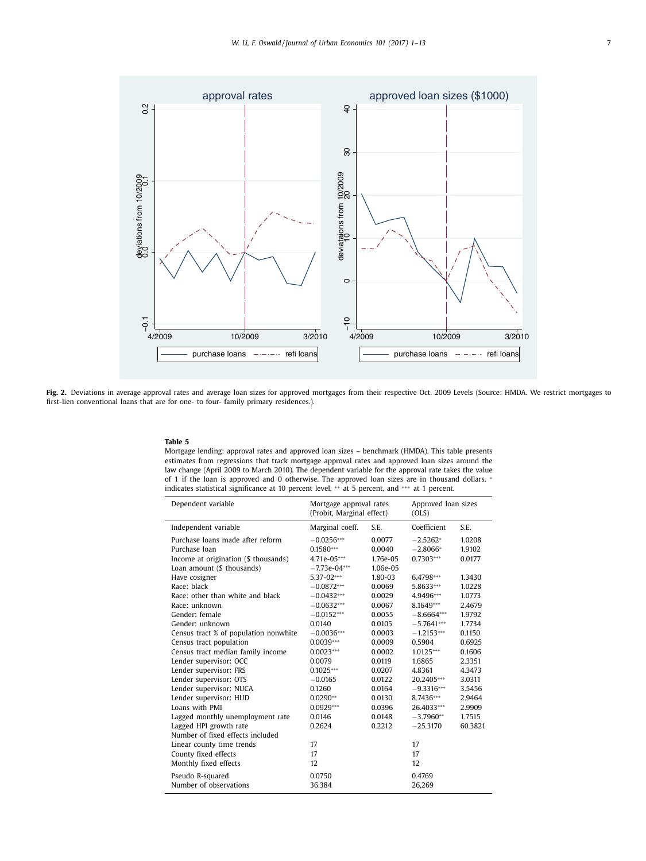

Fig. 2. Deviations in average approval rates and average loan sizes for approved mortgages from their respective Oct. 2009 Levels (Source: HMDA. We restrict mortgages to first-lien conventional loans that are for one- to four- family primary residences.).

Mortgage lending: approval rates and approved loan sizes – benchmark (HMDA). This table presents estimates from regressions that track mortgage approval rates and approved loan sizes around the law change (April 2009 to March 2010). The dependent variable for the approval rate takes the value of 1 if the loan is approved and 0 otherwise. The approved loan sizes are in thousand dollars. <sup>∗</sup> indicates statistical significance at 10 percent level, \*\* at 5 percent, and \*\*\* at 1 percent.

| Dependent variable                    | Mortgage approval rates<br>(Probit, Marginal effect) |          | Approved loan sizes<br>(OLS) |         |  |
|---------------------------------------|------------------------------------------------------|----------|------------------------------|---------|--|
| Independent variable                  | Marginal coeff.                                      | S.E.     | Coefficient                  | S.E.    |  |
| Purchase loans made after reform      | $-0.0256***$                                         | 0.0077   | $-2.5262*$                   | 1.0208  |  |
| Purchase loan                         | $0.1580***$                                          | 0.0040   | $-2.8066*$                   | 1.9102  |  |
| Income at origination (\$ thousands)  | $4.71e-05***$                                        | 1.76e-05 | $0.7303***$                  | 0.0177  |  |
| Loan amount (\$ thousands)            | $-7.73e-04***$                                       | 1.06e-05 |                              |         |  |
| Have cosigner                         | $5.37 - 02***$                                       | 1.80-03  | 6.4798***                    | 1.3430  |  |
| Race: black                           | $-0.0872***$                                         | 0.0069   | 5.8633***                    | 1.0228  |  |
| Race: other than white and black      | $-0.0432***$                                         | 0.0029   | 4.9496***                    | 1.0773  |  |
| Race: unknown                         | $-0.0632***$                                         | 0.0067   | 8.1649***                    | 2.4679  |  |
| Gender: female                        | $-0.0152***$                                         | 0.0055   | $-8.6664***$                 | 1.9792  |  |
| Gender: unknown                       | 0.0140                                               | 0.0105   | $-5.7641***$                 | 1.7734  |  |
| Census tract % of population nonwhite | $-0.0036***$                                         | 0.0003   | $-1.2153***$                 | 0.1150  |  |
| Census tract population               | $0.0039***$                                          | 0.0009   | 0.5904                       | 0.6925  |  |
| Census tract median family income     | $0.0023***$                                          | 0.0002   | $1.0125***$                  | 0.1606  |  |
| Lender supervisor: OCC                | 0.0079                                               | 0.0119   | 1.6865                       | 2.3351  |  |
| Lender supervisor: FRS                | $0.1025***$                                          | 0.0207   | 4.8361                       | 4.3473  |  |
| Lender supervisor: OTS                | $-0.0165$                                            | 0.0122   | 20.2405***                   | 3.0311  |  |
| Lender supervisor: NUCA               | 0.1260                                               | 0.0164   | $-9.3316***$                 | 3.5456  |  |
| Lender supervisor: HUD                | $0.0290**$                                           | 0.0130   | 8.7436***                    | 2.9464  |  |
| Loans with PMI                        | $0.0929***$                                          | 0.0396   | 26.4033***                   | 2.9909  |  |
| Lagged monthly unemployment rate      | 0.0146                                               | 0.0148   | $-3.7960**$                  | 1.7515  |  |
| Lagged HPI growth rate                | 0.2624                                               | 0.2212   | $-25.3170$                   | 60.3821 |  |
| Number of fixed effects included      |                                                      |          |                              |         |  |
| Linear county time trends             | 17                                                   |          | 17                           |         |  |
| County fixed effects                  | 17                                                   |          | 17                           |         |  |
| Monthly fixed effects                 | 12                                                   |          | 12                           |         |  |
| Pseudo R-squared                      | 0.0750                                               |          | 0.4769                       |         |  |
| Number of observations                | 36,384                                               |          | 26,269                       |         |  |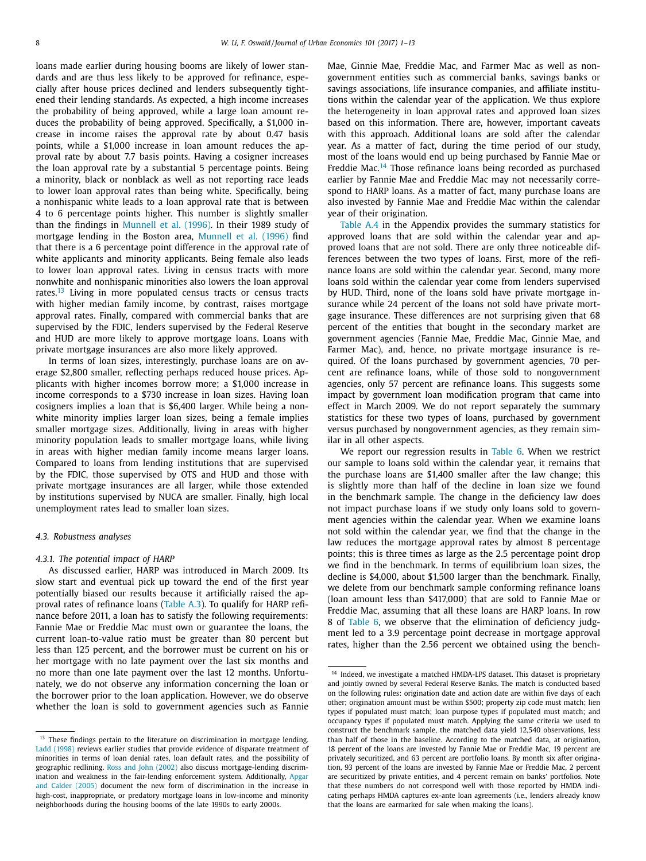loans made earlier during housing booms are likely of lower standards and are thus less likely to be approved for refinance, especially after house prices declined and lenders subsequently tightened their lending standards. As expected, a high income increases the probability of being approved, while a large loan amount reduces the probability of being approved. Specifically, a \$1,000 increase in income raises the approval rate by about 0.47 basis points, while a \$1,000 increase in loan amount reduces the approval rate by about 7.7 basis points. Having a cosigner increases the loan approval rate by a substantial 5 percentage points. Being a minority, black or nonblack as well as not reporting race leads to lower loan approval rates than being white. Specifically, being a nonhispanic white leads to a loan approval rate that is between 4 to 6 percentage points higher. This number is slightly smaller than the findings in Munnell et al. (1996). In their 1989 study of mortgage lending in the Boston area, Munnell et al. (1996) find that there is a 6 percentage point difference in the approval rate of white applicants and minority applicants. Being female also leads to lower loan approval rates. Living in census tracts with more nonwhite and nonhispanic minorities also lowers the loan approval rates.<sup>13</sup> Living in more populated census tracts or census tracts with higher median family income, by contrast, raises mortgage approval rates. Finally, compared with commercial banks that are supervised by the FDIC, lenders supervised by the Federal Reserve and HUD are more likely to approve mortgage loans. Loans with private mortgage insurances are also more likely approved.

In terms of loan sizes, interestingly, purchase loans are on average \$2,800 smaller, reflecting perhaps reduced house prices. Applicants with higher incomes borrow more; a \$1,000 increase in income corresponds to a \$730 increase in loan sizes. Having loan cosigners implies a loan that is \$6,400 larger. While being a nonwhite minority implies larger loan sizes, being a female implies smaller mortgage sizes. Additionally, living in areas with higher minority population leads to smaller mortgage loans, while living in areas with higher median family income means larger loans. Compared to loans from lending institutions that are supervised by the FDIC, those supervised by OTS and HUD and those with private mortgage insurances are all larger, while those extended by institutions supervised by NUCA are smaller. Finally, high local unemployment rates lead to smaller loan sizes.

#### *4.3. Robustness analyses*

#### *4.3.1. The potential impact of HARP*

As discussed earlier, HARP was introduced in March 2009. Its slow start and eventual pick up toward the end of the first year potentially biased our results because it artificially raised the approval rates of refinance loans (Table A.3). To qualify for HARP refinance before 2011, a loan has to satisfy the following requirements: Fannie Mae or Freddie Mac must own or guarantee the loans, the current loan-to-value ratio must be greater than 80 percent but less than 125 percent, and the borrower must be current on his or her mortgage with no late payment over the last six months and no more than one late payment over the last 12 months. Unfortunately, we do not observe any information concerning the loan or the borrower prior to the loan application. However, we do observe whether the loan is sold to government agencies such as Fannie Mae, Ginnie Mae, Freddie Mac, and Farmer Mac as well as nongovernment entities such as commercial banks, savings banks or savings associations, life insurance companies, and affiliate institutions within the calendar year of the application. We thus explore the heterogeneity in loan approval rates and approved loan sizes based on this information. There are, however, important caveats with this approach. Additional loans are sold after the calendar year. As a matter of fact, during the time period of our study, most of the loans would end up being purchased by Fannie Mae or Freddie Mac. $14$  Those refinance loans being recorded as purchased earlier by Fannie Mae and Freddie Mac may not necessarily correspond to HARP loans. As a matter of fact, many purchase loans are also invested by Fannie Mae and Freddie Mac within the calendar year of their origination.

Table A.4 in the Appendix provides the summary statistics for approved loans that are sold within the calendar year and approved loans that are not sold. There are only three noticeable differences between the two types of loans. First, more of the refinance loans are sold within the calendar year. Second, many more loans sold within the calendar year come from lenders supervised by HUD. Third, none of the loans sold have private mortgage insurance while 24 percent of the loans not sold have private mortgage insurance. These differences are not surprising given that 68 percent of the entities that bought in the secondary market are government agencies (Fannie Mae, Freddie Mac, Ginnie Mae, and Farmer Mac), and, hence, no private mortgage insurance is required. Of the loans purchased by government agencies, 70 percent are refinance loans, while of those sold to nongovernment agencies, only 57 percent are refinance loans. This suggests some impact by government loan modification program that came into effect in March 2009. We do not report separately the summary statistics for these two types of loans, purchased by government versus purchased by nongovernment agencies, as they remain similar in all other aspects.

We report our regression results in Table 6. When we restrict our sample to loans sold within the calendar year, it remains that the purchase loans are \$1,400 smaller after the law change; this is slightly more than half of the decline in loan size we found in the benchmark sample. The change in the deficiency law does not impact purchase loans if we study only loans sold to government agencies within the calendar year. When we examine loans not sold within the calendar year, we find that the change in the law reduces the mortgage approval rates by almost 8 percentage points; this is three times as large as the 2.5 percentage point drop we find in the benchmark. In terms of equilibrium loan sizes, the decline is \$4,000, about \$1,500 larger than the benchmark. Finally, we delete from our benchmark sample conforming refinance loans (loan amount less than \$417,000) that are sold to Fannie Mae or Freddie Mac, assuming that all these loans are HARP loans. In row 8 of Table 6, we observe that the elimination of deficiency judgment led to a 3.9 percentage point decrease in mortgage approval rates, higher than the 2.56 percent we obtained using the bench-

 $13$  These findings pertain to the literature on discrimination in mortgage lending. Ladd (1998) reviews earlier studies that provide evidence of disparate treatment of minorities in terms of loan denial rates, loan default rates, and the possibility of geographic redlining. Ross and John (2002) also discuss mortgage-lending discrimination and weakness in the fair-lending enforcement system. Additionally, Apgar and Calder (2005) document the new form of discrimination in the increase in high-cost, inappropriate, or predatory mortgage loans in low-income and minority neighborhoods during the housing booms of the late 1990s to early 2000s.

<sup>&</sup>lt;sup>14</sup> Indeed, we investigate a matched HMDA-LPS dataset. This dataset is proprietary and jointly owned by several Federal Reserve Banks. The match is conducted based on the following rules: origination date and action date are within five days of each other; origination amount must be within \$500; property zip code must match; lien types if populated must match; loan purpose types if populated must match; and occupancy types if populated must match. Applying the same criteria we used to construct the benchmark sample, the matched data yield 12,540 observations, less than half of those in the baseline. According to the matched data, at origination, 18 percent of the loans are invested by Fannie Mae or Freddie Mac, 19 percent are privately securitized, and 63 percent are portfolio loans. By month six after origination, 93 percent of the loans are invested by Fannie Mae or Freddie Mac, 2 percent are securitized by private entities, and 4 percent remain on banks' portfolios. Note that these numbers do not correspond well with those reported by HMDA indicating perhaps HMDA captures ex-ante loan agreements (i.e., lenders already know that the loans are earmarked for sale when making the loans).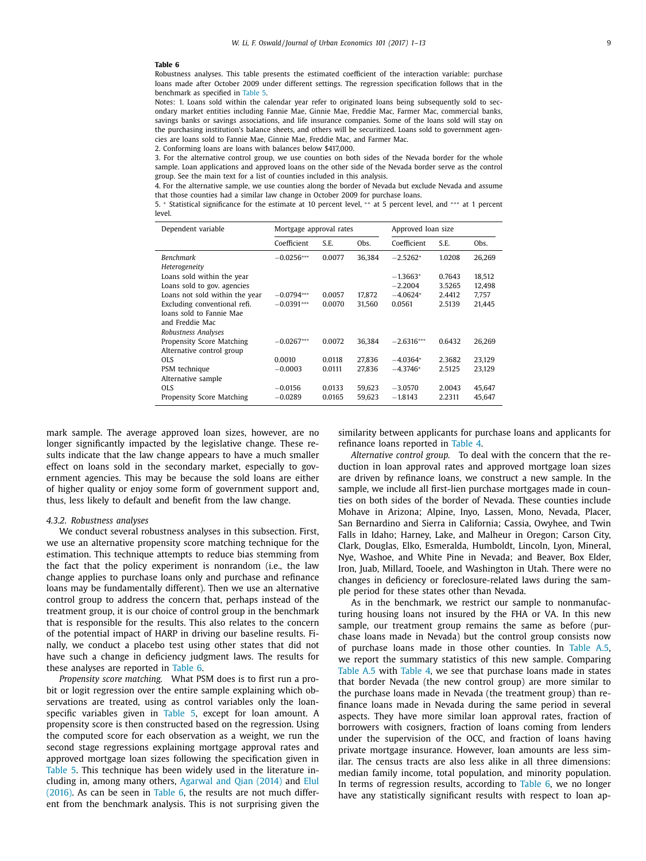Robustness analyses. This table presents the estimated coefficient of the interaction variable: purchase loans made after October 2009 under different settings. The regression specification follows that in the benchmark as specified in Table 5.

Notes: 1. Loans sold within the calendar year refer to originated loans being subsequently sold to secondary market entities including Fannie Mae, Ginnie Mae, Freddie Mac, Farmer Mac, commercial banks, savings banks or savings associations, and life insurance companies. Some of the loans sold will stay on the purchasing institution's balance sheets, and others will be securitized. Loans sold to government agencies are loans sold to Fannie Mae, Ginnie Mae, Freddie Mac, and Farmer Mac.

2. Conforming loans are loans with balances below \$417,000.

3. For the alternative control group, we use counties on both sides of the Nevada border for the whole sample. Loan applications and approved loans on the other side of the Nevada border serve as the control group. See the main text for a list of counties included in this analysis.

4. For the alternative sample, we use counties along the border of Nevada but exclude Nevada and assume that those counties had a similar law change in October 2009 for purchase loans.

5. \* Statistical significance for the estimate at 10 percent level, \*\* at 5 percent level, and \*\*\* at 1 percent level.

| Dependent variable                                                 | Mortgage approval rates |        |        | Approved loan size |        |        |  |
|--------------------------------------------------------------------|-------------------------|--------|--------|--------------------|--------|--------|--|
|                                                                    | Coefficient             | S.E.   | Obs.   | Coefficient        | S.E.   | Obs.   |  |
| <b>Benchmark</b><br>Heterogeneity                                  | $-0.0256***$            | 0.0077 | 36.384 | $-2.5262*$         | 1.0208 | 26.269 |  |
| Loans sold within the year                                         |                         |        |        | $-1.3663*$         | 0.7643 | 18,512 |  |
| Loans sold to gov. agencies                                        |                         |        |        | $-2.2004$          | 3.5265 | 12.498 |  |
| Loans not sold within the year                                     | $-0.0794***$            | 0.0057 | 17.872 | $-4.0624*$         | 2.4412 | 7.757  |  |
| Excluding conventional refi.                                       | $-0.0391***$            | 0.0070 | 31.560 | 0.0561             | 2.5139 | 21.445 |  |
| loans sold to Fannie Mae<br>and Freddie Mac<br>Robustness Analyses |                         |        |        |                    |        |        |  |
| Propensity Score Matching                                          | $-0.0267***$            | 0.0072 | 36,384 | $-2.6316***$       | 0.6432 | 26,269 |  |
| Alternative control group                                          |                         |        |        |                    |        |        |  |
| OLS.                                                               | 0.0010                  | 0.0118 | 27.836 | $-4.0364*$         | 2.3682 | 23.129 |  |
| PSM technique                                                      | $-0.0003$               | 0.0111 | 27.836 | $-4.3746*$         | 2.5125 | 23.129 |  |
| Alternative sample                                                 |                         |        |        |                    |        |        |  |
| <b>OLS</b>                                                         | $-0.0156$               | 0.0133 | 59.623 | $-3.0570$          | 2.0043 | 45.647 |  |
| Propensity Score Matching                                          | $-0.0289$               | 0.0165 | 59,623 | $-1.8143$          | 2.2311 | 45.647 |  |

mark sample. The average approved loan sizes, however, are no longer significantly impacted by the legislative change. These results indicate that the law change appears to have a much smaller effect on loans sold in the secondary market, especially to government agencies. This may be because the sold loans are either of higher quality or enjoy some form of government support and, thus, less likely to default and benefit from the law change.

#### *4.3.2. Robustness analyses*

We conduct several robustness analyses in this subsection. First, we use an alternative propensity score matching technique for the estimation. This technique attempts to reduce bias stemming from the fact that the policy experiment is nonrandom (i.e., the law change applies to purchase loans only and purchase and refinance loans may be fundamentally different). Then we use an alternative control group to address the concern that, perhaps instead of the treatment group, it is our choice of control group in the benchmark that is responsible for the results. This also relates to the concern of the potential impact of HARP in driving our baseline results. Finally, we conduct a placebo test using other states that did not have such a change in deficiency judgment laws. The results for these analyses are reported in Table 6.

*Propensity score matching.* What PSM does is to first run a probit or logit regression over the entire sample explaining which observations are treated, using as control variables only the loanspecific variables given in Table 5, except for loan amount. A propensity score is then constructed based on the regression. Using the computed score for each observation as a weight, we run the second stage regressions explaining mortgage approval rates and approved mortgage loan sizes following the specification given in Table 5. This technique has been widely used in the literature including in, among many others, Agarwal and Qian (2014) and Elul (2016). As can be seen in Table 6, the results are not much different from the benchmark analysis. This is not surprising given the similarity between applicants for purchase loans and applicants for refinance loans reported in Table 4.

*Alternative control group.* To deal with the concern that the reduction in loan approval rates and approved mortgage loan sizes are driven by refinance loans, we construct a new sample. In the sample, we include all first-lien purchase mortgages made in counties on both sides of the border of Nevada. These counties include Mohave in Arizona; Alpine, Inyo, Lassen, Mono, Nevada, Placer, San Bernardino and Sierra in California; Cassia, Owyhee, and Twin Falls in Idaho; Harney, Lake, and Malheur in Oregon; Carson City, Clark, Douglas, Elko, Esmeralda, Humboldt, Lincoln, Lyon, Mineral, Nye, Washoe, and White Pine in Nevada; and Beaver, Box Elder, Iron, Juab, Millard, Tooele, and Washington in Utah. There were no changes in deficiency or foreclosure-related laws during the sample period for these states other than Nevada.

As in the benchmark, we restrict our sample to nonmanufacturing housing loans not insured by the FHA or VA. In this new sample, our treatment group remains the same as before (purchase loans made in Nevada) but the control group consists now of purchase loans made in those other counties. In Table A.5, we report the summary statistics of this new sample. Comparing Table A.5 with Table 4, we see that purchase loans made in states that border Nevada (the new control group) are more similar to the purchase loans made in Nevada (the treatment group) than refinance loans made in Nevada during the same period in several aspects. They have more similar loan approval rates, fraction of borrowers with cosigners, fraction of loans coming from lenders under the supervision of the OCC, and fraction of loans having private mortgage insurance. However, loan amounts are less similar. The census tracts are also less alike in all three dimensions: median family income, total population, and minority population. In terms of regression results, according to Table 6, we no longer have any statistically significant results with respect to loan ap-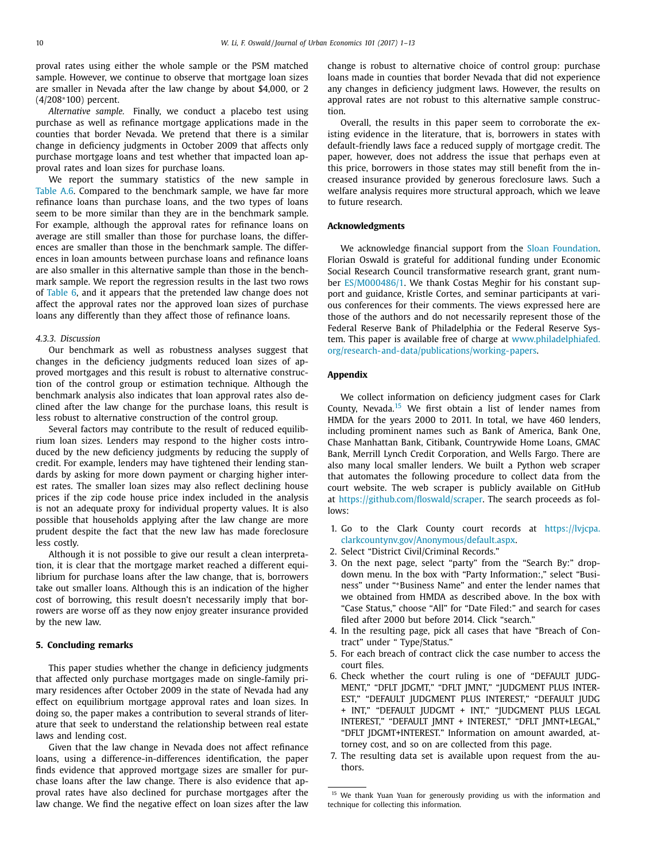proval rates using either the whole sample or the PSM matched sample. However, we continue to observe that mortgage loan sizes are smaller in Nevada after the law change by about \$4,000, or 2 (4/208∗100) percent.

*Alternative sample.* Finally, we conduct a placebo test using purchase as well as refinance mortgage applications made in the counties that border Nevada. We pretend that there is a similar change in deficiency judgments in October 2009 that affects only purchase mortgage loans and test whether that impacted loan approval rates and loan sizes for purchase loans.

We report the summary statistics of the new sample in Table A.6. Compared to the benchmark sample, we have far more refinance loans than purchase loans, and the two types of loans seem to be more similar than they are in the benchmark sample. For example, although the approval rates for refinance loans on average are still smaller than those for purchase loans, the differences are smaller than those in the benchmark sample. The differences in loan amounts between purchase loans and refinance loans are also smaller in this alternative sample than those in the benchmark sample. We report the regression results in the last two rows of Table 6, and it appears that the pretended law change does not affect the approval rates nor the approved loan sizes of purchase loans any differently than they affect those of refinance loans.

#### *4.3.3. Discussion*

Our benchmark as well as robustness analyses suggest that changes in the deficiency judgments reduced loan sizes of approved mortgages and this result is robust to alternative construction of the control group or estimation technique. Although the benchmark analysis also indicates that loan approval rates also declined after the law change for the purchase loans, this result is less robust to alternative construction of the control group.

Several factors may contribute to the result of reduced equilibrium loan sizes. Lenders may respond to the higher costs introduced by the new deficiency judgments by reducing the supply of credit. For example, lenders may have tightened their lending standards by asking for more down payment or charging higher interest rates. The smaller loan sizes may also reflect declining house prices if the zip code house price index included in the analysis is not an adequate proxy for individual property values. It is also possible that households applying after the law change are more prudent despite the fact that the new law has made foreclosure less costly.

Although it is not possible to give our result a clean interpretation, it is clear that the mortgage market reached a different equilibrium for purchase loans after the law change, that is, borrowers take out smaller loans. Although this is an indication of the higher cost of borrowing, this result doesn't necessarily imply that borrowers are worse off as they now enjoy greater insurance provided by the new law.

#### **5. Concluding remarks**

This paper studies whether the change in deficiency judgments that affected only purchase mortgages made on single-family primary residences after October 2009 in the state of Nevada had any effect on equilibrium mortgage approval rates and loan sizes. In doing so, the paper makes a contribution to several strands of literature that seek to understand the relationship between real estate laws and lending cost.

Given that the law change in Nevada does not affect refinance loans, using a difference-in-differences identification, the paper finds evidence that approved mortgage sizes are smaller for purchase loans after the law change. There is also evidence that approval rates have also declined for purchase mortgages after the law change. We find the negative effect on loan sizes after the law change is robust to alternative choice of control group: purchase loans made in counties that border Nevada that did not experience any changes in deficiency judgment laws. However, the results on approval rates are not robust to this alternative sample construction.

Overall, the results in this paper seem to corroborate the existing evidence in the literature, that is, borrowers in states with default-friendly laws face a reduced supply of mortgage credit. The paper, however, does not address the issue that perhaps even at this price, borrowers in those states may still benefit from the increased insurance provided by generous foreclosure laws. Such a welfare analysis requires more structural approach, which we leave to future research.

#### **Acknowledgments**

We acknowledge financial support from the Sloan [Foundation.](http://dx.doi.org/10.13039/100000879) Florian Oswald is grateful for additional funding under Economic Social Research Council transformative research grant, grant number ES/M000486/1. We thank Costas Meghir for his constant support and guidance, Kristle Cortes, and seminar participants at various conferences for their comments. The views expressed here are those of the authors and do not necessarily represent those of the Federal Reserve Bank of Philadelphia or the Federal Reserve System. This paper is available free of charge at www.philadelphiafed. [org/research-and-data/publications/working-papers.](http://www.philadelphiafed.org/research-and-data/publications/working-papers)

#### **Appendix**

We collect information on deficiency judgment cases for Clark County. Nevada.<sup>15</sup> We first obtain a list of lender names from HMDA for the years 2000 to 2011. In total, we have 460 lenders, including prominent names such as Bank of America, Bank One, Chase Manhattan Bank, Citibank, Countrywide Home Loans, GMAC Bank, Merrill Lynch Credit Corporation, and Wells Fargo. There are also many local smaller lenders. We built a Python web scraper that automates the following procedure to collect data from the court website. The web scraper is publicly available on GitHub at [https://github.com/floswald/scraper.](https://github.com/floswald/scraper) The search proceeds as follows:

- 1. Go to the Clark County court records at https://lvjcpa. [clarkcountynv.gov/Anonymous/default.aspx.](https://lvjcpa.clarkcountynv.gov/Anonymous/default.aspx)
- 2. Select "District Civil/Criminal Records."
- 3. On the next page, select "party" from the "Search By:" dropdown menu. In the box with "Party Information:," select "Business" under "∗Business Name" and enter the lender names that we obtained from HMDA as described above. In the box with "Case Status," choose "All" for "Date Filed:" and search for cases filed after 2000 but before 2014. Click "search."
- 4. In the resulting page, pick all cases that have "Breach of Contract" under " Type/Status."
- 5. For each breach of contract click the case number to access the court files.
- 6. Check whether the court ruling is one of "DEFAULT JUDG-MENT," "DFLT JDGMT," "DFLT JMNT," "JUDGMENT PLUS INTER-EST," "DEFAULT JUDGMENT PLUS INTEREST," "DEFAULT JUDG + INT," "DEFAULT JUDGMT + INT," "JUDGMENT PLUS LEGAL INTEREST," "DEFAULT JMNT + INTEREST," "DFLT JMNT+LEGAL," "DFLT JDGMT+INTEREST." Information on amount awarded, attorney cost, and so on are collected from this page.
- 7. The resulting data set is available upon request from the authors.

<sup>&</sup>lt;sup>15</sup> We thank Yuan Yuan for generously providing us with the information and technique for collecting this information.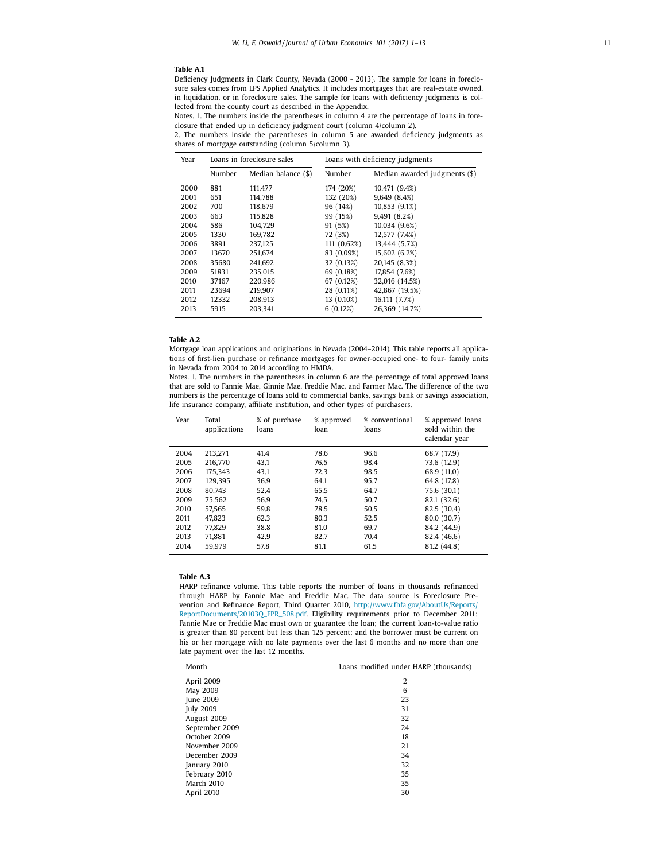#### **Table A.1**

Deficiency Judgments in Clark County, Nevada (2000 - 2013). The sample for loans in foreclosure sales comes from LPS Applied Analytics. It includes mortgages that are real-estate owned, in liquidation, or in foreclosure sales. The sample for loans with deficiency judgments is collected from the county court as described in the Appendix.

Notes. 1. The numbers inside the parentheses in column 4 are the percentage of loans in foreclosure that ended up in deficiency judgment court (column 4/column 2).

2. The numbers inside the parentheses in column 5 are awarded deficiency judgments as shares of mortgage outstanding (column 5/column 3).

| Year |        | Loans in foreclosure sales |             | Loans with deficiency judgments |
|------|--------|----------------------------|-------------|---------------------------------|
|      | Number | Median balance (\$)        | Number      | Median awarded judgments (\$)   |
| 2000 | 881    | 111.477                    | 174 (20%)   | 10,471 (9.4%)                   |
| 2001 | 651    | 114.788                    | 132 (20%)   | 9,649(8.4%)                     |
| 2002 | 700    | 118.679                    | 96 (14%)    | 10,853 (9.1%)                   |
| 2003 | 663    | 115,828                    | 99 (15%)    | 9,491(8.2%)                     |
| 2004 | 586    | 104.729                    | 91 (5%)     | 10,034 (9.6%)                   |
| 2005 | 1330   | 169.782                    | 72 (3%)     | 12,577 (7.4%)                   |
| 2006 | 3891   | 237.125                    | 111 (0.62%) | 13,444 (5.7%)                   |
| 2007 | 13670  | 251.674                    | 83 (0.09%)  | 15,602 (6.2%)                   |
| 2008 | 35680  | 241,692                    | 32 (0.13%)  | 20,145 (8.3%)                   |
| 2009 | 51831  | 235,015                    | 69 (0.18%)  | 17,854 (7.6%)                   |
| 2010 | 37167  | 220.986                    | 67 (0.12%)  | 32,016 (14.5%)                  |
| 2011 | 23694  | 219.907                    | 28 (0.11%)  | 42,867 (19.5%)                  |
| 2012 | 12332  | 208.913                    | 13 (0.10%)  | 16,111 (7.7%)                   |
| 2013 | 5915   | 203.341                    | 6(0.12%)    | 26,369 (14.7%)                  |

#### **Table A.2**

Mortgage loan applications and originations in Nevada (2004–2014). This table reports all applications of first-lien purchase or refinance mortgages for owner-occupied one- to four- family units in Nevada from 2004 to 2014 according to HMDA.

Notes. 1. The numbers in the parentheses in column 6 are the percentage of total approved loans that are sold to Fannie Mae, Ginnie Mae, Freddie Mac, and Farmer Mac. The difference of the two numbers is the percentage of loans sold to commercial banks, savings bank or savings association, life insurance company, affiliate institution, and other types of purchasers.

| Year | Total<br>applications | % of purchase<br>loans | % approved<br>loan | % conventional<br>loans | % approved loans<br>sold within the<br>calendar year |
|------|-----------------------|------------------------|--------------------|-------------------------|------------------------------------------------------|
| 2004 | 213.271               | 41.4                   | 78.6               | 96.6                    | 68.7 (17.9)                                          |
| 2005 | 216.770               | 43.1                   | 76.5               | 98.4                    | 73.6 (12.9)                                          |
| 2006 | 175.343               | 43.1                   | 72.3               | 98.5                    | 68.9 (11.0)                                          |
| 2007 | 129.395               | 36.9                   | 64.1               | 95.7                    | 64.8 (17.8)                                          |
| 2008 | 80.743                | 52.4                   | 65.5               | 64.7                    | 75.6 (30.1)                                          |
| 2009 | 75.562                | 56.9                   | 74.5               | 50.7                    | 82.1 (32.6)                                          |
| 2010 | 57.565                | 59.8                   | 78.5               | 50.5                    | 82.5 (30.4)                                          |
| 2011 | 47.823                | 62.3                   | 80.3               | 52.5                    | 80.0 (30.7)                                          |
| 2012 | 77.829                | 38.8                   | 81.0               | 69.7                    | 84.2 (44.9)                                          |
| 2013 | 71.881                | 42.9                   | 82.7               | 70.4                    | 82.4 (46.6)                                          |
| 2014 | 59.979                | 57.8                   | 81.1               | 61.5                    | 81.2 (44.8)                                          |

#### **Table A.3**

HARP refinance volume. This table reports the number of loans in thousands refinanced through HARP by Fannie Mae and Freddie Mac. The data source is Foreclosure Prevention and Refinance Report, Third Quarter 2010, http://www.fhfa.gov/AboutUs/Reports/ [ReportDocuments/20103Q\\_FPR\\_508.pdf.](http://www.fhfa.gov/AboutUs/Reports/ReportDocuments/20103Q_FPR_508.pdf) Eligibility requirements prior to December 2011: Fannie Mae or Freddie Mac must own or guarantee the loan; the current loan-to-value ratio is greater than 80 percent but less than 125 percent; and the borrower must be current on his or her mortgage with no late payments over the last 6 months and no more than one late payment over the last 12 months.

| Month             | Loans modified under HARP (thousands) |
|-------------------|---------------------------------------|
| April 2009        | 2                                     |
| May 2009          | 6                                     |
| June 2009         | 23                                    |
| <b>July 2009</b>  | 31                                    |
| August 2009       | 32                                    |
| September 2009    | 24                                    |
| October 2009      | 18                                    |
| November 2009     | 21                                    |
| December 2009     | 34                                    |
| January 2010      | 32                                    |
| February 2010     | 35                                    |
| <b>March 2010</b> | 35                                    |
| April 2010        | 30                                    |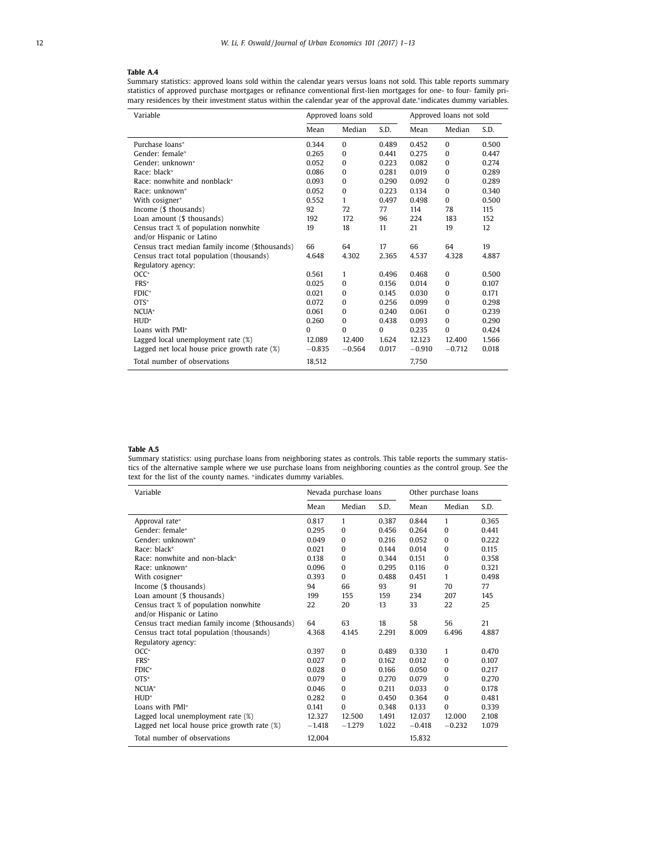#### **Table A.4**

Summary statistics: approved loans sold within the calendar years versus loans not sold. This table reports summary statistics of approved purchase mortgages or refinance conventional first-lien mortgages for one- to four- family primary residences by their investment status within the calendar year of the approval date.∗indicates dummy variables.

| Variable                                        | Approved loans sold |          |          | Approved loans not sold |          |       |
|-------------------------------------------------|---------------------|----------|----------|-------------------------|----------|-------|
|                                                 | Mean                | Median   | S.D.     | Mean                    | Median   | S.D.  |
| Purchase loans*                                 | 0.344               | $\Omega$ | 0.489    | 0.452                   | $\Omega$ | 0.500 |
| Gender: female*                                 | 0.265               | 0        | 0.441    | 0.275                   | $\bf{0}$ | 0.447 |
| Gender: unknown*                                | 0.052               | 0        | 0.223    | 0.082                   | $\Omega$ | 0.274 |
| Race: black*                                    | 0.086               | 0        | 0.281    | 0.019                   | $\Omega$ | 0.289 |
| Race: nonwhite and nonblack*                    | 0.093               | 0        | 0.290    | 0.092                   | $\bf{0}$ | 0.289 |
| Race: unknown*                                  | 0.052               | 0        | 0.223    | 0.134                   | $\Omega$ | 0.340 |
| With cosigner*                                  | 0.552               | 1        | 0.497    | 0.498                   | $\Omega$ | 0.500 |
| Income (\$ thousands)                           | 92                  | 72       | 77       | 114                     | 78       | 115   |
| Loan amount (\$ thousands)                      | 192                 | 172      | 96       | 224                     | 183      | 152   |
| Census tract % of population nonwhite           | 19                  | 18       | 11       | 21                      | 19       | 12    |
| and/or Hispanic or Latino                       |                     |          |          |                         |          |       |
| Census tract median family income (\$thousands) | 66                  | 64       | 17       | 66                      | 64       | 19    |
| Census tract total population (thousands)       | 4.648               | 4.302    | 2.365    | 4.537                   | 4.328    | 4.887 |
| Regulatory agency:                              |                     |          |          |                         |          |       |
| $OCC^*$                                         | 0.561               | 1        | 0.496    | 0.468                   | $\Omega$ | 0.500 |
| FRS*                                            | 0.025               | 0        | 0.156    | 0.014                   | $\Omega$ | 0.107 |
| FDIC*                                           | 0.021               | 0        | 0.145    | 0.030                   | $\bf{0}$ | 0.171 |
| OTS*                                            | 0.072               | 0        | 0.256    | 0.099                   | 0        | 0.298 |
| NCUA*                                           | 0.061               | 0        | 0.240    | 0.061                   | $\bf{0}$ | 0.239 |
| HUD <sup>*</sup>                                | 0.260               | 0        | 0.438    | 0.093                   | $\Omega$ | 0.290 |
| Loans with PMI*                                 | $\Omega$            | 0        | $\Omega$ | 0.235                   | $\Omega$ | 0.424 |
| Lagged local unemployment rate (%)              | 12.089              | 12.400   | 1.624    | 12.123                  | 12.400   | 1.566 |
| Lagged net local house price growth rate (%)    | $-0.835$            | $-0.564$ | 0.017    | $-0.910$                | $-0.712$ | 0.018 |
| Total number of observations                    | 18,512              |          |          | 7,750                   |          |       |

#### **Table A.5**

Summary statistics: using purchase loans from neighboring states as controls. This table reports the summary statistics of the alternative sample where we use purchase loans from neighboring counties as the control group. See the text for the list of the county names. <sup>∗</sup>indicates dummy variables.

| Variable                                        | Nevada purchase loans |              | Other purchase loans |          |          |       |
|-------------------------------------------------|-----------------------|--------------|----------------------|----------|----------|-------|
|                                                 | Mean                  | Median       | S.D.                 | Mean     | Median   | S.D.  |
| Approval rate*                                  | 0.817                 | $\mathbf{1}$ | 0.387                | 0.844    | 1        | 0.365 |
| Gender: female*                                 | 0.295                 | $\bf{0}$     | 0.456                | 0.264    | $\bf{0}$ | 0.441 |
| Gender: unknown*                                | 0.049                 | 0            | 0.216                | 0.052    | $\Omega$ | 0.222 |
| Race: black*                                    | 0.021                 | 0            | 0.144                | 0.014    | $\Omega$ | 0.115 |
| Race: nonwhite and non-black*                   | 0.138                 | $\bf{0}$     | 0.344                | 0.151    | $\bf{0}$ | 0.358 |
| Race: unknown*                                  | 0.096                 | $\bf{0}$     | 0.295                | 0.116    | $\Omega$ | 0.321 |
| With cosigner*                                  | 0.393                 | $\bf{0}$     | 0.488                | 0.451    | 1        | 0.498 |
| Income (\$ thousands)                           | 94                    | 66           | 93                   | 91       | 70       | 77    |
| Loan amount (\$ thousands)                      | 199                   | 155          | 159                  | 234      | 207      | 145   |
| Census tract % of population nonwhite           | 22                    | 20           | 13                   | 33       | 22       | 25    |
| and/or Hispanic or Latino                       |                       |              |                      |          |          |       |
| Census tract median family income (\$thousands) | 64                    | 63           | 18                   | 58       | 56       | 21    |
| Census tract total population (thousands)       | 4.368                 | 4.145        | 2.291                | 8.009    | 6.496    | 4.887 |
| Regulatory agency:                              |                       |              |                      |          |          |       |
| $OCC*$                                          | 0.397                 | $\bf{0}$     | 0.489                | 0.330    | 1        | 0.470 |
| FRS*                                            | 0.027                 | $\bf{0}$     | 0.162                | 0.012    | $\Omega$ | 0.107 |
| FDIC*                                           | 0.028                 | $\bf{0}$     | 0.166                | 0.050    | $\Omega$ | 0.217 |
| OTS*                                            | 0.079                 | 0            | 0.270                | 0.079    | $\bf{0}$ | 0.270 |
| NCUA*                                           | 0.046                 | $\bf{0}$     | 0.211                | 0.033    | $\Omega$ | 0.178 |
| HUD*                                            | 0.282                 | $\bf{0}$     | 0.450                | 0.364    | $\Omega$ | 0.481 |
| Loans with PMI*                                 | 0.141                 | $\bf{0}$     | 0.348                | 0.133    | $\bf{0}$ | 0.339 |
| Lagged local unemployment rate (%)              | 12.327                | 12.500       | 1.491                | 12.037   | 12.000   | 2.108 |
| Lagged net local house price growth rate (%)    | $-1.418$              | $-1.279$     | 1.022                | $-0.418$ | $-0.232$ | 1.079 |
| Total number of observations                    | 12.004                |              |                      | 15.832   |          |       |